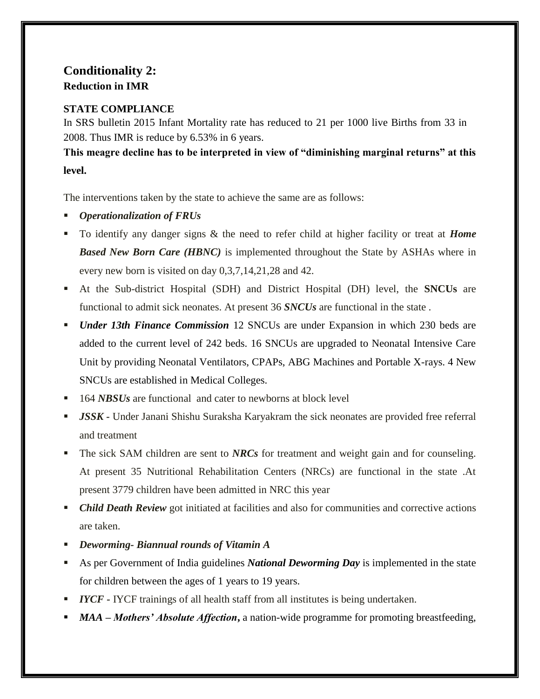## **Conditionality 2: Reduction in IMR**

## **STATE COMPLIANCE**

In SRS bulletin 2015 Infant Mortality rate has reduced to 21 per 1000 live Births from 33 in 2008. Thus IMR is reduce by 6.53% in 6 years.

**This meagre decline has to be interpreted in view of "diminishing marginal returns" at this level.** 

The interventions taken by the state to achieve the same are as follows:

- *Operationalization of FRUs*
- To identify any danger signs & the need to refer child at higher facility or treat at *Home Based New Born Care (HBNC)* is implemented throughout the State by ASHAs where in every new born is visited on day 0,3,7,14,21,28 and 42.
- At the Sub-district Hospital (SDH) and District Hospital (DH) level, the **SNCUs** are functional to admit sick neonates. At present 36 *SNCUs* are functional in the state .
- *Under 13th Finance Commission* 12 SNCUs are under Expansion in which 230 beds are added to the current level of 242 beds. 16 SNCUs are upgraded to Neonatal Intensive Care Unit by providing Neonatal Ventilators, CPAPs, ABG Machines and Portable X-rays. 4 New SNCUs are established in Medical Colleges.
- <sup>164</sup> *NBSUs* are functional and cater to newborns at block level
- *JSSK -* Under Janani Shishu Suraksha Karyakram the sick neonates are provided free referral and treatment
- The sick SAM children are sent to *NRCs* for treatment and weight gain and for counseling. At present 35 Nutritional Rehabilitation Centers (NRCs) are functional in the state .At present 3779 children have been admitted in NRC this year
- *Child Death Review* got initiated at facilities and also for communities and corrective actions are taken.
- *Deworming- Biannual rounds of Vitamin A*
- As per Government of India guidelines *National Deworming Day* is implemented in the state for children between the ages of 1 years to 19 years.
- *IYCF* IYCF trainings of all health staff from all institutes is being undertaken.
- *MAA – Mothers' Absolute Affection***,** a nation-wide programme for promoting breastfeeding,